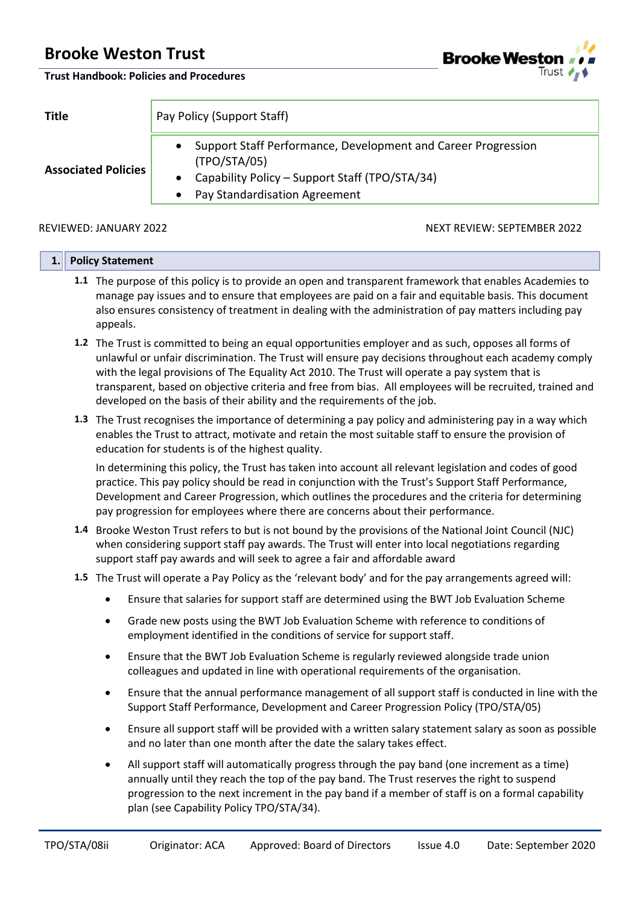**Trust Handbook: Policies and Procedures**



| Title                      | Pay Policy (Support Staff)                                                                                                                                       |
|----------------------------|------------------------------------------------------------------------------------------------------------------------------------------------------------------|
| <b>Associated Policies</b> | Support Staff Performance, Development and Career Progression<br>(TPO/STA/05)<br>Capability Policy - Support Staff (TPO/STA/34)<br>Pay Standardisation Agreement |

REVIEWED: JANUARY 2022 NEXT REVIEW: SEPTEMBER 2022

|  | 1. Policy Statement                                                                                                                                                                                              |
|--|------------------------------------------------------------------------------------------------------------------------------------------------------------------------------------------------------------------|
|  | 1.1 The purpose of this policy is to provide an open and transparent framework that enables Academies to<br>manage pay issues and to ensure that employees are paid on a fair and equitable basis. This document |
|  | also ensures consistency of treatment in dealing with the administration of pay matters including pay<br>appeals.                                                                                                |

- **1.2** The Trust is committed to being an equal opportunities employer and as such, opposes all forms of unlawful or unfair discrimination. The Trust will ensure pay decisions throughout each academy comply with the legal provisions of The Equality Act 2010. The Trust will operate a pay system that is transparent, based on objective criteria and free from bias. All employees will be recruited, trained and developed on the basis of their ability and the requirements of the job.
- **1.3** The Trust recognises the importance of determining a pay policy and administering pay in a way which enables the Trust to attract, motivate and retain the most suitable staff to ensure the provision of education for students is of the highest quality.

In determining this policy, the Trust has taken into account all relevant legislation and codes of good practice. This pay policy should be read in conjunction with the Trust's Support Staff Performance, Development and Career Progression, which outlines the procedures and the criteria for determining pay progression for employees where there are concerns about their performance.

- **1.4** Brooke Weston Trust refers to but is not bound by the provisions of the National Joint Council (NJC) when considering support staff pay awards. The Trust will enter into local negotiations regarding support staff pay awards and will seek to agree a fair and affordable award
- **1.5** The Trust will operate a Pay Policy as the 'relevant body' and for the pay arrangements agreed will:
	- Ensure that salaries for support staff are determined using the BWT Job Evaluation Scheme
	- Grade new posts using the BWT Job Evaluation Scheme with reference to conditions of employment identified in the conditions of service for support staff.
	- Ensure that the BWT Job Evaluation Scheme is regularly reviewed alongside trade union colleagues and updated in line with operational requirements of the organisation.
	- Ensure that the annual performance management of all support staff is conducted in line with the Support Staff Performance, Development and Career Progression Policy (TPO/STA/05)
	- Ensure all support staff will be provided with a written salary statement salary as soon as possible and no later than one month after the date the salary takes effect.
	- All support staff will automatically progress through the pay band (one increment as a time) annually until they reach the top of the pay band. The Trust reserves the right to suspend progression to the next increment in the pay band if a member of staff is on a formal capability plan (see Capability Policy TPO/STA/34).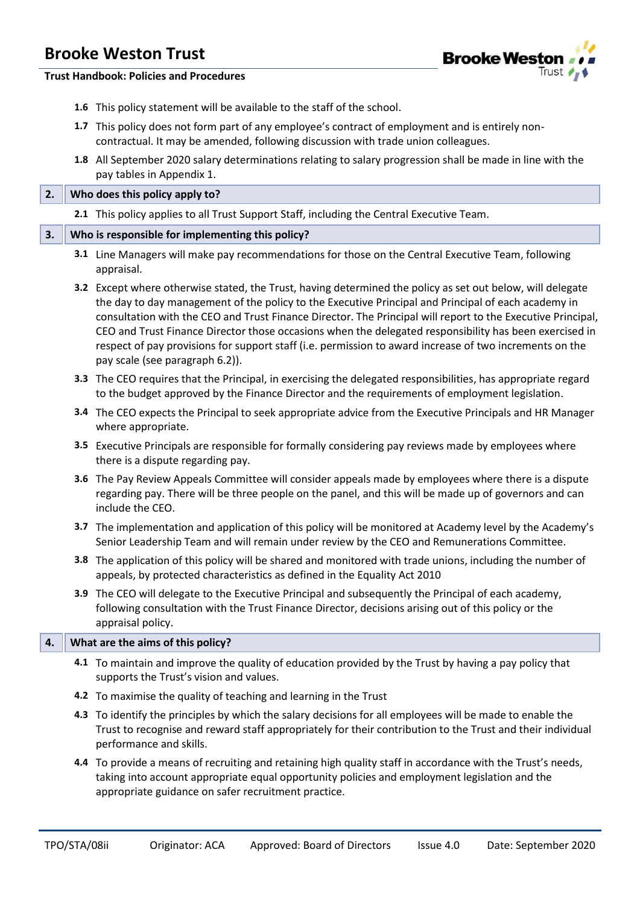

**Trust Handbook: Policies and Procedures**

- **1.6** This policy statement will be available to the staff of the school.
- **1.7** This policy does not form part of any employee's contract of employment and is entirely noncontractual. It may be amended, following discussion with trade union colleagues.
- **1.8** All September 2020 salary determinations relating to salary progression shall be made in line with the pay tables in Appendix 1.

#### **2. Who does this policy apply to?**

**2.1** This policy applies to all Trust Support Staff, including the Central Executive Team.

#### **3. Who is responsible for implementing this policy?**

- **3.1** Line Managers will make pay recommendations for those on the Central Executive Team, following appraisal.
- **3.2** Except where otherwise stated, the Trust, having determined the policy as set out below, will delegate the day to day management of the policy to the Executive Principal and Principal of each academy in consultation with the CEO and Trust Finance Director. The Principal will report to the Executive Principal, CEO and Trust Finance Director those occasions when the delegated responsibility has been exercised in respect of pay provisions for support staff (i.e. permission to award increase of two increments on the pay scale (see paragraph 6.2)).
- **3.3** The CEO requires that the Principal, in exercising the delegated responsibilities, has appropriate regard to the budget approved by the Finance Director and the requirements of employment legislation.
- **3.4** The CEO expects the Principal to seek appropriate advice from the Executive Principals and HR Manager where appropriate.
- **3.5** Executive Principals are responsible for formally considering pay reviews made by employees where there is a dispute regarding pay.
- **3.6** The Pay Review Appeals Committee will consider appeals made by employees where there is a dispute regarding pay. There will be three people on the panel, and this will be made up of governors and can include the CEO.
- **3.7** The implementation and application of this policy will be monitored at Academy level by the Academy's Senior Leadership Team and will remain under review by the CEO and Remunerations Committee.
- **3.8** The application of this policy will be shared and monitored with trade unions, including the number of appeals, by protected characteristics as defined in the Equality Act 2010
- **3.9** The CEO will delegate to the Executive Principal and subsequently the Principal of each academy, following consultation with the Trust Finance Director, decisions arising out of this policy or the appraisal policy.

#### **4. What are the aims of this policy?**

- **4.1** To maintain and improve the quality of education provided by the Trust by having a pay policy that supports the Trust's vision and values.
- **4.2** To maximise the quality of teaching and learning in the Trust
- **4.3** To identify the principles by which the salary decisions for all employees will be made to enable the Trust to recognise and reward staff appropriately for their contribution to the Trust and their individual performance and skills.
- **4.4** To provide a means of recruiting and retaining high quality staff in accordance with the Trust's needs, taking into account appropriate equal opportunity policies and employment legislation and the appropriate guidance on safer recruitment practice.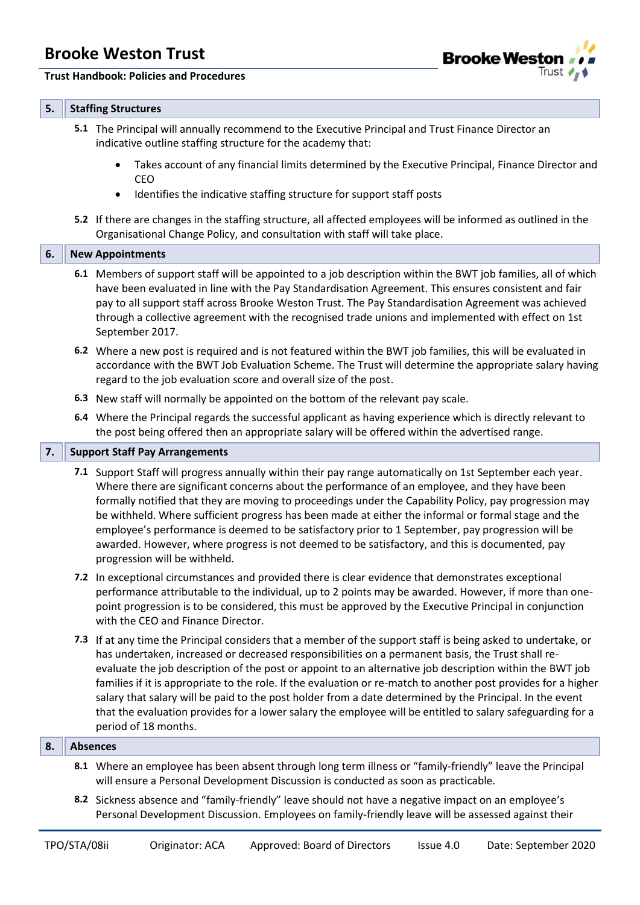#### **Trust Handbook: Policies and Procedures**



#### **5. Staffing Structures**

- **5.1** The Principal will annually recommend to the Executive Principal and Trust Finance Director an indicative outline staffing structure for the academy that:
	- Takes account of any financial limits determined by the Executive Principal, Finance Director and CEO
	- Identifies the indicative staffing structure for support staff posts
- **5.2** If there are changes in the staffing structure, all affected employees will be informed as outlined in the Organisational Change Policy, and consultation with staff will take place.

#### **6. New Appointments**

- **6.1** Members of support staff will be appointed to a job description within the BWT job families, all of which have been evaluated in line with the Pay Standardisation Agreement. This ensures consistent and fair pay to all support staff across Brooke Weston Trust. The Pay Standardisation Agreement was achieved through a collective agreement with the recognised trade unions and implemented with effect on 1st September 2017.
- **6.2** Where a new post is required and is not featured within the BWT job families, this will be evaluated in accordance with the BWT Job Evaluation Scheme. The Trust will determine the appropriate salary having regard to the job evaluation score and overall size of the post.
- **6.3** New staff will normally be appointed on the bottom of the relevant pay scale.
- **6.4** Where the Principal regards the successful applicant as having experience which is directly relevant to the post being offered then an appropriate salary will be offered within the advertised range.

#### **7.** Support Staff Pay Arrangements

- **7.1** Support Staff will progress annually within their pay range automatically on 1st September each year. Where there are significant concerns about the performance of an employee, and they have been formally notified that they are moving to proceedings under the Capability Policy, pay progression may be withheld. Where sufficient progress has been made at either the informal or formal stage and the employee's performance is deemed to be satisfactory prior to 1 September, pay progression will be awarded. However, where progress is not deemed to be satisfactory, and this is documented, pay progression will be withheld.
- **7.2** In exceptional circumstances and provided there is clear evidence that demonstrates exceptional performance attributable to the individual, up to 2 points may be awarded. However, if more than onepoint progression is to be considered, this must be approved by the Executive Principal in conjunction with the CEO and Finance Director.
- **7.3** If at any time the Principal considers that a member of the support staff is being asked to undertake, or has undertaken, increased or decreased responsibilities on a permanent basis, the Trust shall reevaluate the job description of the post or appoint to an alternative job description within the BWT job families if it is appropriate to the role. If the evaluation or re-match to another post provides for a higher salary that salary will be paid to the post holder from a date determined by the Principal. In the event that the evaluation provides for a lower salary the employee will be entitled to salary safeguarding for a period of 18 months.

#### **8. Absences**

- **8.1** Where an employee has been absent through long term illness or "family-friendly" leave the Principal will ensure a Personal Development Discussion is conducted as soon as practicable.
- **8.2** Sickness absence and "family-friendly" leave should not have a negative impact on an employee's Personal Development Discussion. Employees on family-friendly leave will be assessed against their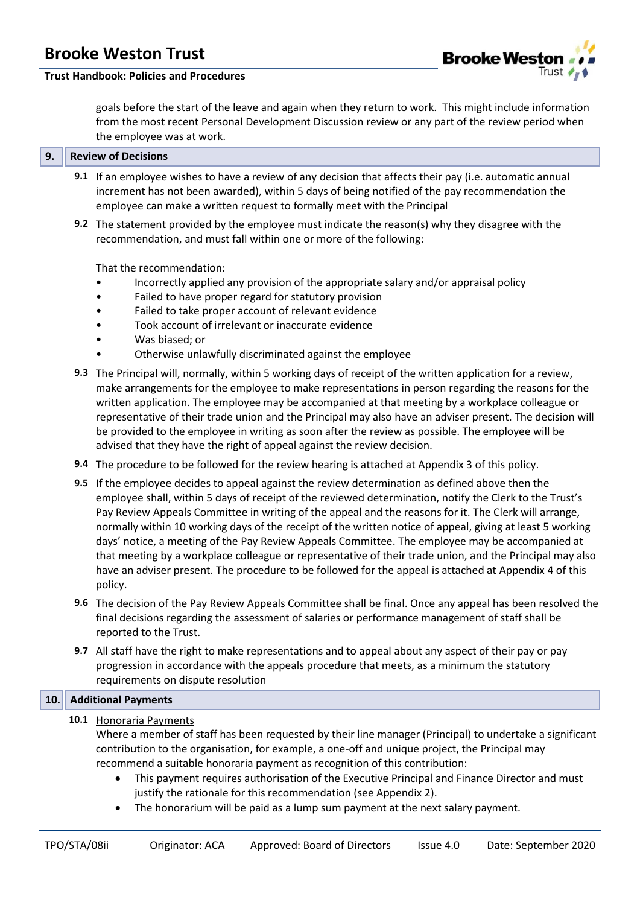

#### **Trust Handbook: Policies and Procedures**

goals before the start of the leave and again when they return to work. This might include information from the most recent Personal Development Discussion review or any part of the review period when the employee was at work.

#### **9. Review of Decisions**

- **9.1** If an employee wishes to have a review of any decision that affects their pay (i.e. automatic annual increment has not been awarded), within 5 days of being notified of the pay recommendation the employee can make a written request to formally meet with the Principal
- **9.2** The statement provided by the employee must indicate the reason(s) why they disagree with the recommendation, and must fall within one or more of the following:

That the recommendation:

- Incorrectly applied any provision of the appropriate salary and/or appraisal policy
- Failed to have proper regard for statutory provision
- Failed to take proper account of relevant evidence
- Took account of irrelevant or inaccurate evidence
- Was biased; or
- Otherwise unlawfully discriminated against the employee
- **9.3** The Principal will, normally, within 5 working days of receipt of the written application for a review, make arrangements for the employee to make representations in person regarding the reasons for the written application. The employee may be accompanied at that meeting by a workplace colleague or representative of their trade union and the Principal may also have an adviser present. The decision will be provided to the employee in writing as soon after the review as possible. The employee will be advised that they have the right of appeal against the review decision.
- **9.4** The procedure to be followed for the review hearing is attached at Appendix 3 of this policy.
- **9.5** If the employee decides to appeal against the review determination as defined above then the employee shall, within 5 days of receipt of the reviewed determination, notify the Clerk to the Trust's Pay Review Appeals Committee in writing of the appeal and the reasons for it. The Clerk will arrange, normally within 10 working days of the receipt of the written notice of appeal, giving at least 5 working days' notice, a meeting of the Pay Review Appeals Committee. The employee may be accompanied at that meeting by a workplace colleague or representative of their trade union, and the Principal may also have an adviser present. The procedure to be followed for the appeal is attached at Appendix 4 of this policy.
- **9.6** The decision of the Pay Review Appeals Committee shall be final. Once any appeal has been resolved the final decisions regarding the assessment of salaries or performance management of staff shall be reported to the Trust.
- **9.7** All staff have the right to make representations and to appeal about any aspect of their pay or pay progression in accordance with the appeals procedure that meets, as a minimum the statutory requirements on dispute resolution

#### **10. Additional Payments**

**10.1** Honoraria Payments

Where a member of staff has been requested by their line manager (Principal) to undertake a significant contribution to the organisation, for example, a one-off and unique project, the Principal may recommend a suitable honoraria payment as recognition of this contribution:

- This payment requires authorisation of the Executive Principal and Finance Director and must justify the rationale for this recommendation (see Appendix 2).
- The honorarium will be paid as a lump sum payment at the next salary payment.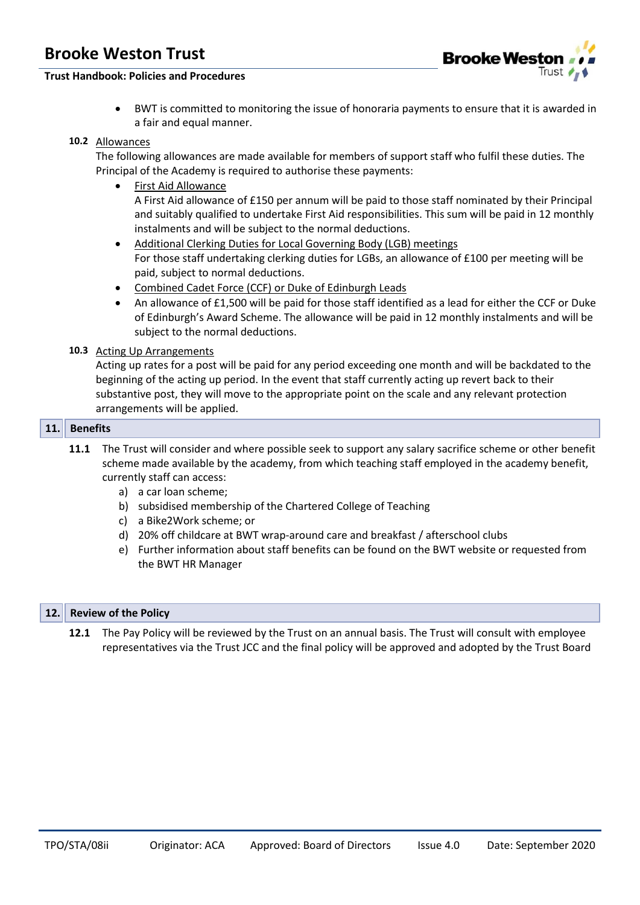

### **Trust Handbook: Policies and Procedures**

• BWT is committed to monitoring the issue of honoraria payments to ensure that it is awarded in a fair and equal manner.

#### **10.2** Allowances

The following allowances are made available for members of support staff who fulfil these duties. The Principal of the Academy is required to authorise these payments:

- First Aid Allowance A First Aid allowance of £150 per annum will be paid to those staff nominated by their Principal and suitably qualified to undertake First Aid responsibilities. This sum will be paid in 12 monthly instalments and will be subject to the normal deductions.
- Additional Clerking Duties for Local Governing Body (LGB) meetings For those staff undertaking clerking duties for LGBs, an allowance of £100 per meeting will be paid, subject to normal deductions.
- Combined Cadet Force (CCF) or Duke of Edinburgh Leads
- An allowance of £1,500 will be paid for those staff identified as a lead for either the CCF or Duke of Edinburgh's Award Scheme. The allowance will be paid in 12 monthly instalments and will be subject to the normal deductions.

#### **10.3** Acting Up Arrangements

Acting up rates for a post will be paid for any period exceeding one month and will be backdated to the beginning of the acting up period. In the event that staff currently acting up revert back to their substantive post, they will move to the appropriate point on the scale and any relevant protection arrangements will be applied.

#### **11. Benefits**

- **11.1** The Trust will consider and where possible seek to support any salary sacrifice scheme or other benefit scheme made available by the academy, from which teaching staff employed in the academy benefit, currently staff can access:
	- a) a car loan scheme;
	- b) subsidised membership of the Chartered College of Teaching
	- c) a Bike2Work scheme; or
	- d) 20% off childcare at BWT wrap-around care and breakfast / afterschool clubs
	- e) Further information about staff benefits can be found on the BWT website or requested from the BWT HR Manager

#### **12. Review of the Policy**

**12.1** The Pay Policy will be reviewed by the Trust on an annual basis. The Trust will consult with employee representatives via the Trust JCC and the final policy will be approved and adopted by the Trust Board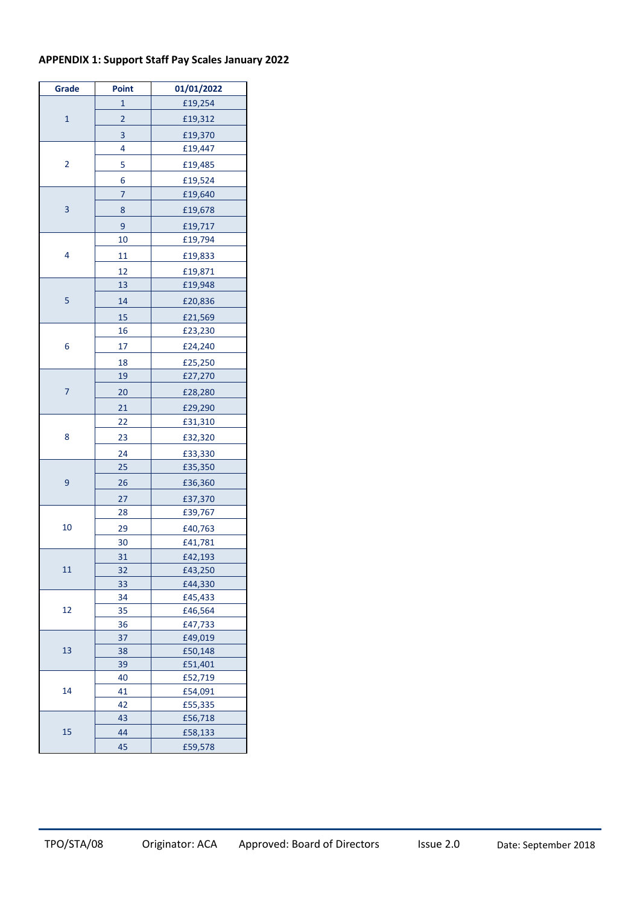### **APPENDIX 1: Support Staff Pay Scales January 2022**

| Grade        | Point                   | 01/01/2022         |
|--------------|-------------------------|--------------------|
|              | 1                       | £19,254            |
| $\mathbf{1}$ | $\overline{\mathbf{c}}$ | £19,312            |
|              | 3                       | £19,370            |
|              | 4                       | £19,447            |
| 2            | 5                       | £19,485            |
|              | 6                       | £19,524            |
|              | 7                       | £19,640            |
| 3            | 8                       | £19,678            |
|              | 9                       | £19,717            |
|              | 10                      | £19,794            |
| 4            | 11                      | £19,833            |
|              | 12                      | £19,871            |
|              | 13                      | £19,948            |
| 5            | 14                      | £20,836            |
|              | 15                      | £21,569            |
|              | 16                      | £23,230            |
| 6            | 17                      | £24,240            |
|              |                         |                    |
|              | 18<br>19                | £25,250<br>£27,270 |
| 7            |                         |                    |
|              | 20                      | £28,280            |
|              | 21                      | £29,290            |
|              | 22                      | £31,310            |
| 8            | 23                      | £32,320            |
|              | 24                      | £33,330            |
|              | 25                      | £35,350            |
| 9            | 26                      | £36,360            |
|              | 27                      | £37,370            |
|              | 28                      | £39,767            |
| 10           | 29                      | £40,763            |
|              | 30                      | £41,781            |
|              | 31                      | £42,193            |
| 11           | 32                      | £43,250            |
|              | 33                      | £44,330            |
| 12           | 34<br>35                | £45,433            |
|              | 36                      | £46,564<br>£47,733 |
|              | 37                      | £49,019            |
| 13           | 38                      | £50,148            |
|              | 39                      | £51,401            |
|              | 40                      | £52,719            |
| 14           | 41                      | £54,091            |
|              | 42                      | £55,335            |
|              | 43                      | £56,718            |
| 15           | 44                      | £58,133            |
|              | 45                      | £59,578            |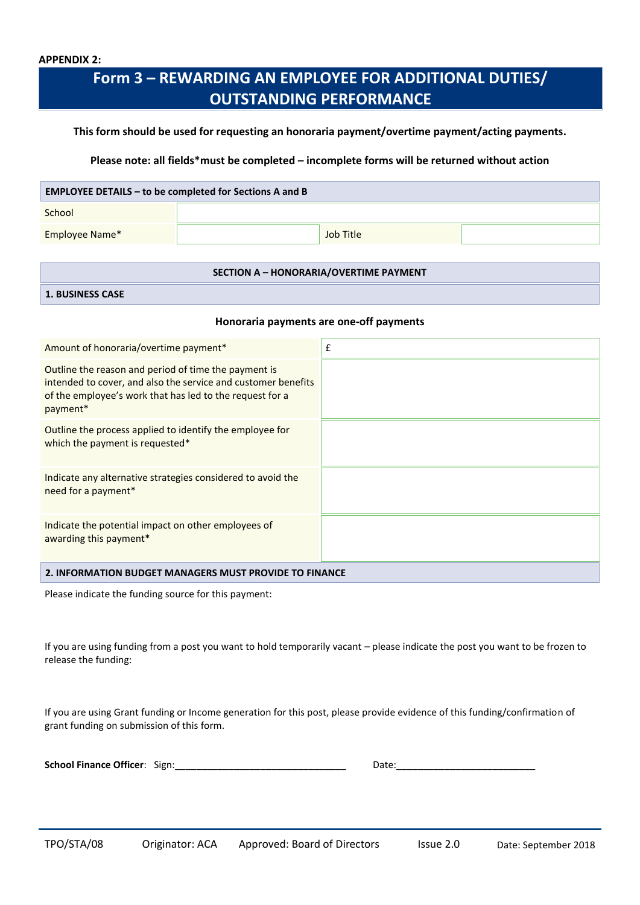## **Form 3 – REWARDING AN EMPLOYEE FOR ADDITIONAL DUTIES/ OUTSTANDING PERFORMANCE**

#### **This form should be used for requesting an honoraria payment/overtime payment/acting payments.**

#### **Please note: all fields\*must be completed – incomplete forms will be returned without action**

#### **EMPLOYEE DETAILS – to be completed for Sections A and B**

**School** 

Employee Name\* Job Title

#### **SECTION A – HONORARIA/OVERTIME PAYMENT**

**1. BUSINESS CASE**

#### **Honoraria payments are one-off payments**

| Amount of honoraria/overtime payment*                                                                                                                                                         | £ |  |
|-----------------------------------------------------------------------------------------------------------------------------------------------------------------------------------------------|---|--|
| Outline the reason and period of time the payment is<br>intended to cover, and also the service and customer benefits<br>of the employee's work that has led to the request for a<br>payment* |   |  |
| Outline the process applied to identify the employee for<br>which the payment is requested*                                                                                                   |   |  |
| Indicate any alternative strategies considered to avoid the<br>need for a payment*                                                                                                            |   |  |
| Indicate the potential impact on other employees of<br>awarding this payment*                                                                                                                 |   |  |
| 2. INFORMATION BUDGET MANAGERS MUST PROVIDE TO FINANCE                                                                                                                                        |   |  |

Please indicate the funding source for this payment:

If you are using funding from a post you want to hold temporarily vacant – please indicate the post you want to be frozen to release the funding:

If you are using Grant funding or Income generation for this post, please provide evidence of this funding/confirmation of grant funding on submission of this form.

| <b>School Finance Officer: Sign:</b> |  |  |
|--------------------------------------|--|--|
|--------------------------------------|--|--|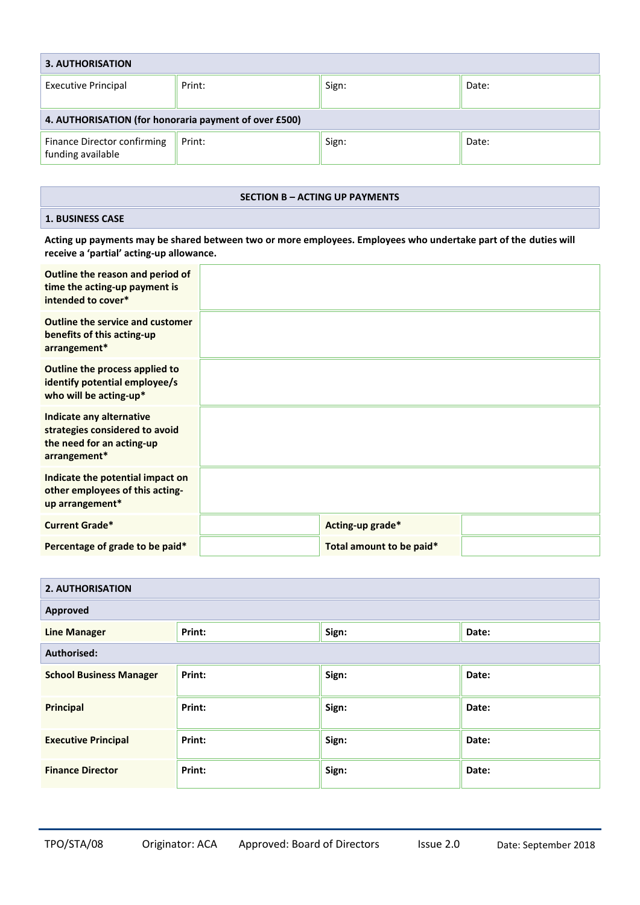| 3. AUTHORISATION                                      |        |       |       |  |
|-------------------------------------------------------|--------|-------|-------|--|
| <b>Executive Principal</b>                            | Print: | Sign: | Date: |  |
| 4. AUTHORISATION (for honoraria payment of over £500) |        |       |       |  |
| Finance Director confirming<br>funding available      | Print: | Sign: | Date: |  |

#### **SECTION B – ACTING UP PAYMENTS**

#### **1. BUSINESS CASE**

**Acting up payments may be shared between two or more employees. Employees who undertake part of the duties will receive a 'partial' acting-up allowance.**

| Outline the reason and period of<br>time the acting-up payment is<br>intended to cover*                 |                          |  |
|---------------------------------------------------------------------------------------------------------|--------------------------|--|
| <b>Outline the service and customer</b><br>benefits of this acting-up<br>arrangement*                   |                          |  |
| Outline the process applied to<br>identify potential employee/s<br>who will be acting-up*               |                          |  |
| Indicate any alternative<br>strategies considered to avoid<br>the need for an acting-up<br>arrangement* |                          |  |
| Indicate the potential impact on<br>other employees of this acting-<br>up arrangement*                  |                          |  |
| <b>Current Grade*</b>                                                                                   | Acting-up grade*         |  |
| Percentage of grade to be paid*                                                                         | Total amount to be paid* |  |

| <b>2. AUTHORISATION</b>        |        |       |       |  |
|--------------------------------|--------|-------|-------|--|
| Approved                       |        |       |       |  |
| <b>Line Manager</b>            | Print: | Sign: | Date: |  |
| Authorised:                    |        |       |       |  |
| <b>School Business Manager</b> | Print: | Sign: | Date: |  |
| <b>Principal</b>               | Print: | Sign: | Date: |  |
| <b>Executive Principal</b>     | Print: | Sign: | Date: |  |
| <b>Finance Director</b>        | Print: | Sign: | Date: |  |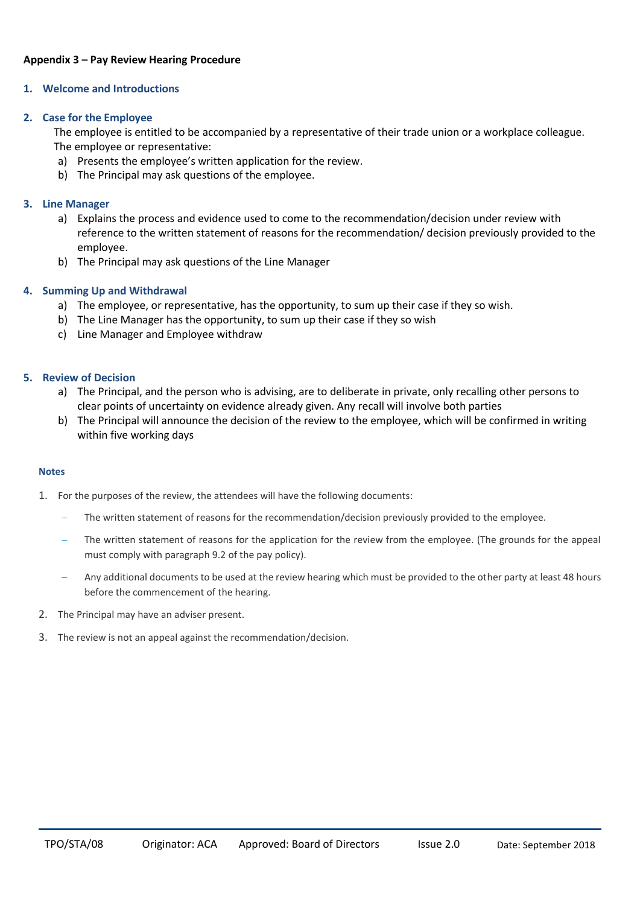#### **Appendix 3 – Pay Review Hearing Procedure**

#### **1. Welcome and Introductions**

#### **2. Case for the Employee**

The employee is entitled to be accompanied by a representative of their trade union or a workplace colleague. The employee or representative:

- a) Presents the employee's written application for the review.
- b) The Principal may ask questions of the employee.

#### **3. Line Manager**

- a) Explains the process and evidence used to come to the recommendation/decision under review with reference to the written statement of reasons for the recommendation/ decision previously provided to the employee.
- b) The Principal may ask questions of the Line Manager

#### **4. Summing Up and Withdrawal**

- a) The employee, or representative, has the opportunity, to sum up their case if they so wish.
- b) The Line Manager has the opportunity, to sum up their case if they so wish
- c) Line Manager and Employee withdraw

#### **5. Review of Decision**

- a) The Principal, and the person who is advising, are to deliberate in private, only recalling other persons to clear points of uncertainty on evidence already given. Any recall will involve both parties
- b) The Principal will announce the decision of the review to the employee, which will be confirmed in writing within five working days

#### **Notes**

- 1. For the purposes of the review, the attendees will have the following documents:
	- The written statement of reasons for the recommendation/decision previously provided to the employee.
	- The written statement of reasons for the application for the review from the employee. (The grounds for the appeal must comply with paragraph 9.2 of the pay policy).
	- Any additional documents to be used at the review hearing which must be provided to the other party at least 48 hours before the commencement of the hearing.
- 2. The Principal may have an adviser present.
- 3. The review is not an appeal against the recommendation/decision.